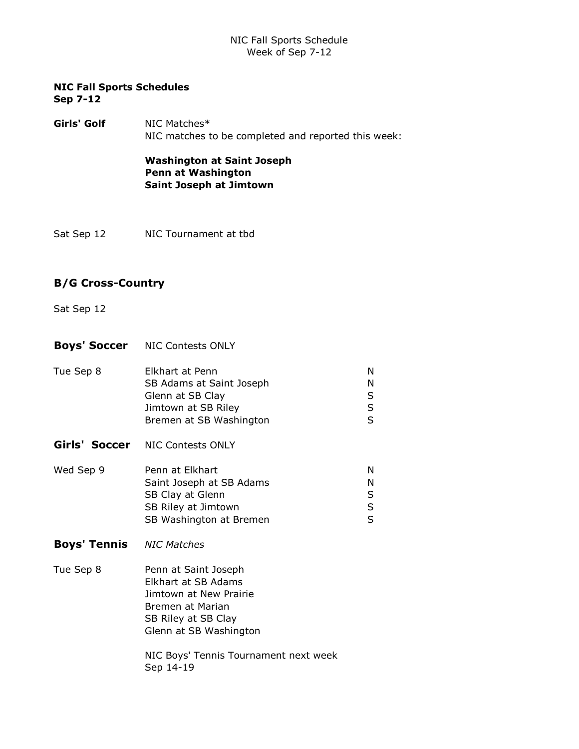## NIC Fall Sports Schedule Week of Sep 7-12

#### NIC Fall Sports Schedules Sep 7-12

Girls' Golf NIC Matches\* NIC matches to be completed and reported this week:

> Washington at Saint Joseph Penn at Washington Saint Joseph at Jimtown

Sat Sep 12 NIC Tournament at tbd

## B/G Cross-Country

- Sat Sep 12
- **Boys' Soccer** NIC Contests ONLY
- Tue Sep 8 Elkhart at Penn N SB Adams at Saint Joseph N Glenn at SB Clay S Jimtown at SB Riley S Bremen at SB Washington S Girls' Soccer NIC Contests ONLY Wed Sep 9 Penn at Elkhart N Saint Joseph at SB Adams N SB Clay at Glenn S SB Riley at Jimtown S SB Washington at Bremen S **Boys' Tennis** NIC Matches
- Tue Sep 8 Penn at Saint Joseph Elkhart at SB Adams Jimtown at New Prairie Bremen at Marian SB Riley at SB Clay Glenn at SB Washington

NIC Boys' Tennis Tournament next week Sep 14-19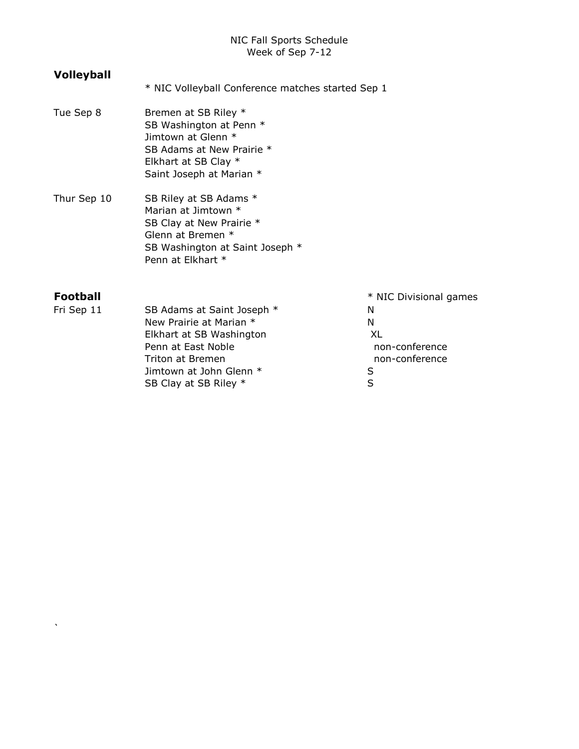## NIC Fall Sports Schedule Week of Sep 7-12

# Volleyball

- \* NIC Volleyball Conference matches started Sep 1
- Tue Sep 8 Bremen at SB Riley \* SB Washington at Penn \* Jimtown at Glenn \* SB Adams at New Prairie \* Elkhart at SB Clay \* Saint Joseph at Marian \*
- Thur Sep 10 SB Riley at SB Adams \* Marian at Jimtown \* SB Clay at New Prairie \* Glenn at Bremen \* SB Washington at Saint Joseph \* Penn at Elkhart \*

`

Fri Sep 11 SB Adams at Saint Joseph \* N New Prairie at Marian \* N Elkhart at SB Washington XL Penn at East Noble non-conference Triton at Bremen non-conference Jimtown at John Glenn \* S SB Clay at SB Riley \* S

Football \* NIC Divisional games